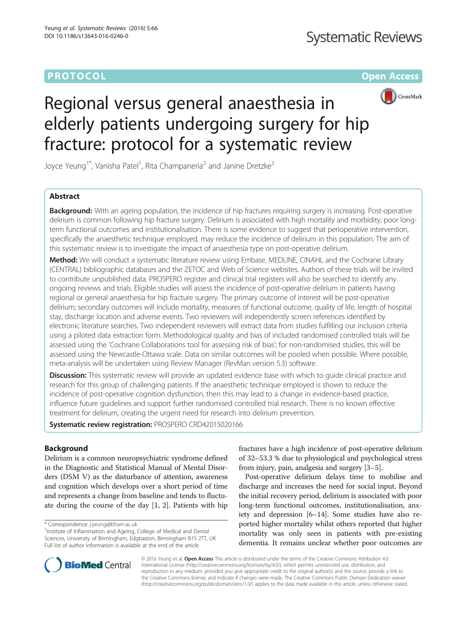## **PROTOCOL CONSUMING THE OPEN ACCESS**



# Regional versus general anaesthesia in elderly patients undergoing surgery for hip fracture: protocol for a systematic review

Joyce Yeung<sup>1\*</sup>, Vanisha Patel<sup>1</sup>, Rita Champaneria<sup>2</sup> and Janine Dretzke<sup>3</sup>

## Abstract

**Background:** With an ageing population, the incidence of hip fractures requiring surgery is increasing. Post-operative delirium is common following hip fracture surgery. Delirium is associated with high mortality and morbidity, poor longterm functional outcomes and institutionalisation. There is some evidence to suggest that perioperative intervention, specifically the anaesthetic technique employed, may reduce the incidence of delirium in this population. The aim of this systematic review is to investigate the impact of anaesthesia type on post-operative delirium.

Method: We will conduct a systematic literature review using Embase, MEDLINE, CINAHL and the Cochrane Library (CENTRAL) bibliographic databases and the ZETOC and Web of Science websites. Authors of these trials will be invited to contribute unpublished data. PROSPERO register and clinical trial registers will also be searched to identify any ongoing reviews and trials. Eligible studies will assess the incidence of post-operative delirium in patients having regional or general anaesthesia for hip fracture surgery. The primary outcome of interest will be post-operative delirium; secondary outcomes will include mortality, measures of functional outcome, quality of life, length of hospital stay, discharge location and adverse events. Two reviewers will independently screen references identified by electronic literature searches. Two independent reviewers will extract data from studies fulfilling our inclusion criteria using a piloted data extraction form. Methodological quality and bias of included randomised controlled trials will be assessed using the 'Cochrane Collaborations tool for assessing risk of bias'; for non-randomised studies, this will be assessed using the Newcastle-Ottawa scale. Data on similar outcomes will be pooled when possible. Where possible, meta-analysis will be undertaken using Review Manager (RevMan version 5.3) software.

Discussion: This systematic review will provide an updated evidence base with which to quide clinical practice and research for this group of challenging patients. If the anaesthetic technique employed is shown to reduce the incidence of post-operative cognition dysfunction, then this may lead to a change in evidence-based practice, influence future guidelines and support further randomised controlled trial research. There is no known effective treatment for delirium, creating the urgent need for research into delirium prevention.

Systematic review registration: PROSPERO [CRD42015020166](http://www.crd.york.ac.uk/PROSPERO/display_record.asp?ID=CRD42015020166)

## Background

Delirium is a common neuropsychiatric syndrome defined in the Diagnostic and Statistical Manual of Mental Disorders (DSM V) as the disturbance of attention, awareness and cognition which develops over a short period of time and represents a change from baseline and tends to fluctuate during the course of the day [[1](#page-4-0), [2](#page-4-0)]. Patients with hip

\* Correspondence: [j.yeung@bham.ac.uk](mailto:j.yeung@bham.ac.uk) <sup>1</sup>

<sup>1</sup> Institute of Inflammation and Ageing, College of Medical and Dental Sciences, University of Birmingham, Edgbaston, Birmingham B15 2TT, UK Full list of author information is available at the end of the article

fractures have a high incidence of post-operative delirium of 32–53.3 % due to physiological and psychological stress from injury, pain, analgesia and surgery [[3](#page-4-0)–[5](#page-4-0)].

Post-operative delirium delays time to mobilise and discharge and increases the need for social input. Beyond the initial recovery period, delirium is associated with poor long-term functional outcomes, institutionalisation, anxiety and depression [[6](#page-4-0)–[14](#page-4-0)]. Some studies have also reported higher mortality whilst others reported that higher mortality was only seen in patients with pre-existing dementia. It remains unclear whether poor outcomes are



© 2016 Yeung et al. Open Access This article is distributed under the terms of the Creative Commons Attribution 4.0 International License [\(http://creativecommons.org/licenses/by/4.0/](http://creativecommons.org/licenses/by/4.0/)), which permits unrestricted use, distribution, and reproduction in any medium, provided you give appropriate credit to the original author(s) and the source, provide a link to the Creative Commons license, and indicate if changes were made. The Creative Commons Public Domain Dedication waiver [\(http://creativecommons.org/publicdomain/zero/1.0/](http://creativecommons.org/publicdomain/zero/1.0/)) applies to the data made available in this article, unless otherwise stated.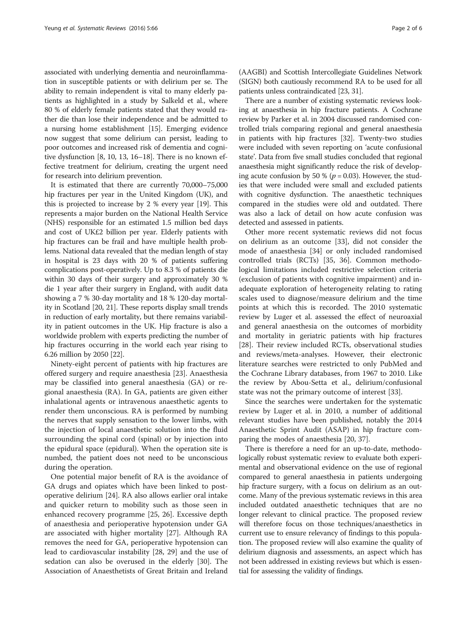associated with underlying dementia and neuroinflammation in susceptible patients or with delirium per se. The ability to remain independent is vital to many elderly patients as highlighted in a study by Salkeld et al., where 80 % of elderly female patients stated that they would rather die than lose their independence and be admitted to a nursing home establishment [\[15](#page-4-0)]. Emerging evidence now suggest that some delirium can persist, leading to poor outcomes and increased risk of dementia and cognitive dysfunction [[8, 10, 13](#page-4-0), [16](#page-4-0)–[18\]](#page-4-0). There is no known effective treatment for delirium, creating the urgent need for research into delirium prevention.

It is estimated that there are currently 70,000–75,000 hip fractures per year in the United Kingdom (UK), and this is projected to increase by 2 % every year [\[19\]](#page-4-0). This represents a major burden on the National Health Service (NHS) responsible for an estimated 1.5 million bed days and cost of UK£2 billion per year. Elderly patients with hip fractures can be frail and have multiple health problems. National data revealed that the median length of stay in hospital is 23 days with 20 % of patients suffering complications post-operatively. Up to 8.3 % of patients die within 30 days of their surgery and approximately 30 % die 1 year after their surgery in England, with audit data showing a 7 % 30-day mortality and 18 % 120-day mortality in Scotland [[20](#page-4-0), [21\]](#page-4-0). These reports display small trends in reduction of early mortality, but there remains variability in patient outcomes in the UK. Hip fracture is also a worldwide problem with experts predicting the number of hip fractures occurring in the world each year rising to 6.26 million by 2050 [[22](#page-4-0)].

Ninety-eight percent of patients with hip fractures are offered surgery and require anaesthesia [[23\]](#page-4-0). Anaesthesia may be classified into general anaesthesia (GA) or regional anaesthesia (RA). In GA, patients are given either inhalational agents or intravenous anaesthetic agents to render them unconscious. RA is performed by numbing the nerves that supply sensation to the lower limbs, with the injection of local anaesthetic solution into the fluid surrounding the spinal cord (spinal) or by injection into the epidural space (epidural). When the operation site is numbed, the patient does not need to be unconscious during the operation.

One potential major benefit of RA is the avoidance of GA drugs and opiates which have been linked to postoperative delirium [\[24](#page-4-0)]. RA also allows earlier oral intake and quicker return to mobility such as those seen in enhanced recovery programme [[25](#page-4-0), [26\]](#page-4-0). Excessive depth of anaesthesia and perioperative hypotension under GA are associated with higher mortality [\[27](#page-4-0)]. Although RA removes the need for GA, perioperative hypotension can lead to cardiovascular instability [[28](#page-5-0), [29](#page-5-0)] and the use of sedation can also be overused in the elderly [[30](#page-5-0)]. The Association of Anaesthetists of Great Britain and Ireland

(AAGBI) and Scottish Intercollegiate Guidelines Network (SIGN) both cautiously recommend RA to be used for all patients unless contraindicated [\[23,](#page-4-0) [31](#page-5-0)].

There are a number of existing systematic reviews looking at anaesthesia in hip fracture patients. A Cochrane review by Parker et al. in 2004 discussed randomised controlled trials comparing regional and general anaesthesia in patients with hip fractures [\[32](#page-5-0)]. Twenty-two studies were included with seven reporting on 'acute confusional state'. Data from five small studies concluded that regional anaesthesia might significantly reduce the risk of developing acute confusion by 50 % ( $p = 0.03$ ). However, the studies that were included were small and excluded patients with cognitive dysfunction. The anaesthetic techniques compared in the studies were old and outdated. There was also a lack of detail on how acute confusion was detected and assessed in patients.

Other more recent systematic reviews did not focus on delirium as an outcome [\[33](#page-5-0)], did not consider the mode of anaesthesia [\[34](#page-5-0)] or only included randomised controlled trials (RCTs) [[35](#page-5-0), [36](#page-5-0)]. Common methodological limitations included restrictive selection criteria (exclusion of patients with cognitive impairment) and inadequate exploration of heterogeneity relating to rating scales used to diagnose/measure delirium and the time points at which this is recorded. The 2010 systematic review by Luger et al. assessed the effect of neuroaxial and general anaesthesia on the outcomes of morbidity and mortality in geriatric patients with hip fractures [[28\]](#page-5-0). Their review included RCTs, observational studies and reviews/meta-analyses. However, their electronic literature searches were restricted to only PubMed and the Cochrane Library databases, from 1967 to 2010. Like the review by Abou-Setta et al., delirium/confusional state was not the primary outcome of interest [\[33](#page-5-0)].

Since the searches were undertaken for the systematic review by Luger et al. in 2010, a number of additional relevant studies have been published, notably the 2014 Anaesthetic Sprint Audit (ASAP) in hip fracture comparing the modes of anaesthesia [\[20,](#page-4-0) [37\]](#page-5-0).

There is therefore a need for an up-to-date, methodologically robust systematic review to evaluate both experimental and observational evidence on the use of regional compared to general anaesthesia in patients undergoing hip fracture surgery, with a focus on delirium as an outcome. Many of the previous systematic reviews in this area included outdated anaesthetic techniques that are no longer relevant to clinical practice. The proposed review will therefore focus on those techniques/anaesthetics in current use to ensure relevancy of findings to this population. The proposed review will also examine the quality of delirium diagnosis and assessments, an aspect which has not been addressed in existing reviews but which is essential for assessing the validity of findings.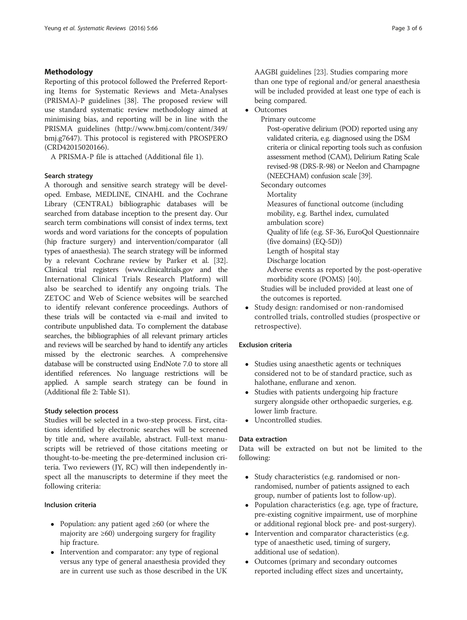## Methodology

Reporting of this protocol followed the Preferred Reporting Items for Systematic Reviews and Meta-Analyses (PRISMA)-P guidelines [[38](#page-5-0)]. The proposed review will use standard systematic review methodology aimed at minimising bias, and reporting will be in line with the PRISMA guidelines [\(http://www.bmj.com/content/349/](http://www.bmj.com/content/349/bmj.g7647) [bmj.g7647\)](http://www.bmj.com/content/349/bmj.g7647). This protocol is registered with PROSPERO (CRD42015020166).

A PRISMA-P file is attached (Additional file [1](#page-4-0)).

## Search strategy

A thorough and sensitive search strategy will be developed. Embase, MEDLINE, CINAHL and the Cochrane Library (CENTRAL) bibliographic databases will be searched from database inception to the present day. Our search term combinations will consist of index terms, text words and word variations for the concepts of population (hip fracture surgery) and intervention/comparator (all types of anaesthesia). The search strategy will be informed by a relevant Cochrane review by Parker et al. [[32](#page-5-0)]. Clinical trial registers ([www.clinicaltrials.gov](http://www.clinicaltrials.gov/) and the International Clinical Trials Research Platform) will also be searched to identify any ongoing trials. The ZETOC and Web of Science websites will be searched to identify relevant conference proceedings. Authors of these trials will be contacted via e-mail and invited to contribute unpublished data. To complement the database searches, the bibliographies of all relevant primary articles and reviews will be searched by hand to identify any articles missed by the electronic searches. A comprehensive database will be constructed using EndNote 7.0 to store all identified references. No language restrictions will be applied. A sample search strategy can be found in (Additional file [2:](#page-4-0) Table S1).

## Study selection process

Studies will be selected in a two-step process. First, citations identified by electronic searches will be screened by title and, where available, abstract. Full-text manuscripts will be retrieved of those citations meeting or thought-to-be-meeting the pre-determined inclusion criteria. Two reviewers (JY, RC) will then independently inspect all the manuscripts to determine if they meet the following criteria:

## Inclusion criteria

- Population: any patient aged ≥60 (or where the majority are ≥60) undergoing surgery for fragility hip fracture.
- Intervention and comparator: any type of regional versus any type of general anaesthesia provided they are in current use such as those described in the UK

AAGBI guidelines [\[23](#page-4-0)]. Studies comparing more than one type of regional and/or general anaesthesia will be included provided at least one type of each is being compared.

- Outcomes
	- Primary outcome

Post-operative delirium (POD) reported using any validated criteria, e.g. diagnosed using the DSM criteria or clinical reporting tools such as confusion assessment method (CAM), Delirium Rating Scale revised-98 (DRS-R-98) or Neelon and Champagne (NEECHAM) confusion scale [[39\]](#page-5-0).

Secondary outcomes

Mortality Measures of functional outcome (including mobility, e.g. Barthel index, cumulated ambulation score) Quality of life (e.g. SF-36, EuroQol Questionnaire (five domains) (EQ-5D)) Length of hospital stay Discharge location Adverse events as reported by the post-operative morbidity score (POMS) [\[40\]](#page-5-0). Studies will be included provided at least one of the outcomes is reported.

 Study design: randomised or non-randomised controlled trials, controlled studies (prospective or retrospective).

## Exclusion criteria

- Studies using anaesthetic agents or techniques considered not to be of standard practice, such as halothane, enflurane and xenon.
- Studies with patients undergoing hip fracture surgery alongside other orthopaedic surgeries, e.g. lower limb fracture.
- Uncontrolled studies.

## Data extraction

Data will be extracted on but not be limited to the following:

- Study characteristics (e.g. randomised or nonrandomised, number of patients assigned to each group, number of patients lost to follow-up).
- Population characteristics (e.g. age, type of fracture, pre-existing cognitive impairment, use of morphine or additional regional block pre- and post-surgery).
- Intervention and comparator characteristics (e.g. type of anaesthetic used, timing of surgery, additional use of sedation).
- Outcomes (primary and secondary outcomes reported including effect sizes and uncertainty,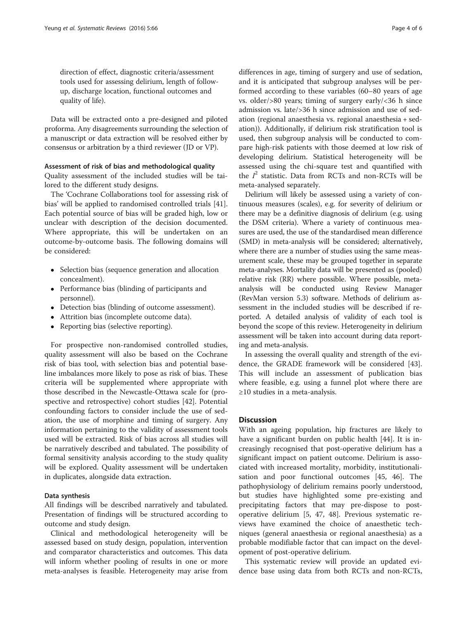direction of effect, diagnostic criteria/assessment tools used for assessing delirium, length of followup, discharge location, functional outcomes and quality of life).

Data will be extracted onto a pre-designed and piloted proforma. Any disagreements surrounding the selection of a manuscript or data extraction will be resolved either by consensus or arbitration by a third reviewer (JD or VP).

#### Assessment of risk of bias and methodological quality

Quality assessment of the included studies will be tailored to the different study designs.

The 'Cochrane Collaborations tool for assessing risk of bias' will be applied to randomised controlled trials [\[41](#page-5-0)]. Each potential source of bias will be graded high, low or unclear with description of the decision documented. Where appropriate, this will be undertaken on an outcome-by-outcome basis. The following domains will be considered:

- Selection bias (sequence generation and allocation concealment).
- Performance bias (blinding of participants and personnel).
- Detection bias (blinding of outcome assessment).
- Attrition bias (incomplete outcome data).
- Reporting bias (selective reporting).

For prospective non-randomised controlled studies, quality assessment will also be based on the Cochrane risk of bias tool, with selection bias and potential baseline imbalances more likely to pose as risk of bias. These criteria will be supplemented where appropriate with those described in the Newcastle-Ottawa scale for (prospective and retrospective) cohort studies [[42](#page-5-0)]. Potential confounding factors to consider include the use of sedation, the use of morphine and timing of surgery. Any information pertaining to the validity of assessment tools used will be extracted. Risk of bias across all studies will be narratively described and tabulated. The possibility of formal sensitivity analysis according to the study quality will be explored. Quality assessment will be undertaken in duplicates, alongside data extraction.

#### Data synthesis

All findings will be described narratively and tabulated. Presentation of findings will be structured according to outcome and study design.

Clinical and methodological heterogeneity will be assessed based on study design, population, intervention and comparator characteristics and outcomes. This data will inform whether pooling of results in one or more meta-analyses is feasible. Heterogeneity may arise from differences in age, timing of surgery and use of sedation, and it is anticipated that subgroup analyses will be performed according to these variables (60–80 years of age vs. older/>80 years; timing of surgery early/<36 h since admission vs. late/>36 h since admission and use of sedation (regional anaesthesia vs. regional anaesthesia + sedation)). Additionally, if delirium risk stratification tool is used, then subgroup analysis will be conducted to compare high-risk patients with those deemed at low risk of developing delirium. Statistical heterogeneity will be assessed using the chi-square test and quantified with the  $I^2$  statistic. Data from RCTs and non-RCTs will be meta-analysed separately.

Delirium will likely be assessed using a variety of continuous measures (scales), e.g. for severity of delirium or there may be a definitive diagnosis of delirium (e.g. using the DSM criteria). Where a variety of continuous measures are used, the use of the standardised mean difference (SMD) in meta-analysis will be considered; alternatively, where there are a number of studies using the same measurement scale, these may be grouped together in separate meta-analyses. Mortality data will be presented as (pooled) relative risk (RR) where possible. Where possible, metaanalysis will be conducted using Review Manager (RevMan version 5.3) software. Methods of delirium assessment in the included studies will be described if reported. A detailed analysis of validity of each tool is beyond the scope of this review. Heterogeneity in delirium assessment will be taken into account during data reporting and meta-analysis.

In assessing the overall quality and strength of the evidence, the GRADE framework will be considered [\[43](#page-5-0)]. This will include an assessment of publication bias where feasible, e.g. using a funnel plot where there are ≥10 studies in a meta-analysis.

### **Discussion**

With an ageing population, hip fractures are likely to have a significant burden on public health [\[44\]](#page-5-0). It is increasingly recognised that post-operative delirium has a significant impact on patient outcome. Delirium is associated with increased mortality, morbidity, institutionalisation and poor functional outcomes [[45](#page-5-0), [46](#page-5-0)]. The pathophysiology of delirium remains poorly understood, but studies have highlighted some pre-existing and precipitating factors that may pre-dispose to postoperative delirium [[5,](#page-4-0) [47, 48](#page-5-0)]. Previous systematic reviews have examined the choice of anaesthetic techniques (general anaesthesia or regional anaesthesia) as a probable modifiable factor that can impact on the development of post-operative delirium.

This systematic review will provide an updated evidence base using data from both RCTs and non-RCTs,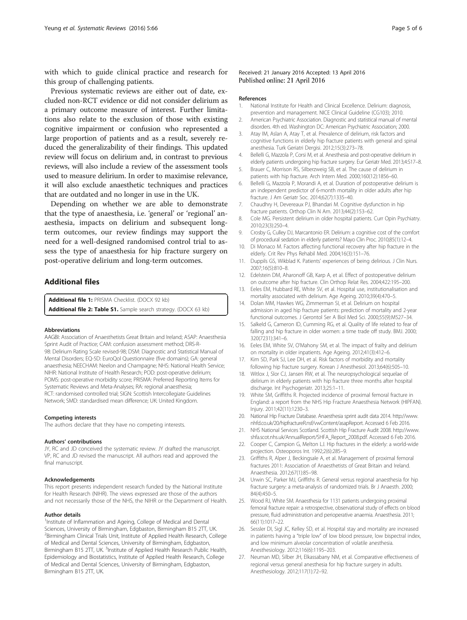<span id="page-4-0"></span>with which to guide clinical practice and research for this group of challenging patients.

Previous systematic reviews are either out of date, excluded non-RCT evidence or did not consider delirium as a primary outcome measure of interest. Further limitations also relate to the exclusion of those with existing cognitive impairment or confusion who represented a large proportion of patients and as a result, severely reduced the generalizability of their findings. This updated review will focus on delirium and, in contrast to previous reviews, will also include a review of the assessment tools used to measure delirium. In order to maximise relevance, it will also exclude anaesthetic techniques and practices that are outdated and no longer in use in the UK.

Depending on whether we are able to demonstrate that the type of anaesthesia, i.e. 'general' or 'regional' anaesthesia, impacts on delirium and subsequent longterm outcomes, our review findings may support the need for a well-designed randomised control trial to assess the type of anaesthesia for hip fracture surgery on post-operative delirium and long-term outcomes.

## Additional files

[Additional file 1:](dx.doi.org/10.1186/s13643-016-0246-0) PRISMA Checklist. (DOCX 92 kb) [Additional file 2: Table S1.](dx.doi.org/10.1186/s13643-016-0246-0) Sample search strategy. (DOCX 63 kb)

#### Abbreviations

AAGBI: Association of Anaesthetists Great Britain and Ireland; ASAP: Anaesthesia Sprint Audit of Practice; CAM: confusion assessment method; DRS-R-98: Delirium Rating Scale revised-98; DSM: Diagnostic and Statistical Manual of Mental Disorders; EQ-5D: EuroQol Questionnaire (five domains); GA: general anaesthesia; NEECHAM: Neelon and Champagne; NHS: National Health Service; NIHR: National Institute of Health Research; POD: post-operative delirium; POMS: post-operative morbidity score; PRISMA: Preferred Reporting Items for Systematic Reviews and Meta-Analyses; RA: regional anaesthesia; RCT: randomised controlled trial; SIGN: Scottish Intercollegiate Guidelines Network; SMD: standardised mean difference; UK: United Kingdom.

#### Competing interests

The authors declare that they have no competing interests.

#### Authors' contributions

JY, RC and JD conceived the systematic review. JY drafted the manuscript. VP, RC and JD revised the manuscript. All authors read and approved the final manuscript.

#### Acknowledgements

This report presents independent research funded by the National Institute for Health Research (NIHR). The views expressed are those of the authors and not necessarily those of the NHS, the NIHR or the Department of Health.

#### Author details

<sup>1</sup>Institute of Inflammation and Ageing, College of Medical and Dental Sciences, University of Birmingham, Edgbaston, Birmingham B15 2TT, UK. <sup>2</sup> Birmingham Clinical Trials Unit, Institute of Applied Health Research, College of Medical and Dental Sciences, University of Birmingham, Edgbaston, Birmingham B15 2TT, UK. <sup>3</sup>Institute of Applied Health Research Public Health, Epidemiology and Biostatistics, Institute of Applied Health Research, College of Medical and Dental Sciences, University of Birmingham, Edgbaston, Birmingham B15 2TT, UK.

#### Received: 21 January 2016 Accepted: 13 April 2016 Published online: 21 April 2016

#### References

- 1. National Institute for Health and Clinical Excellence. Delirium: diagnosis, prevention and management. NICE Clinical Guideline (CG103); 2010.
- 2. American Psychiatric Association. Diagnostic and statistical manual of mental disorders. 4th ed. Washington DC: American Psychiatric Association; 2000.
- 3. Atay IM, Aslan A, Atay T, et al. Prevalence of delirium, risk factors and cognitive functions in elderly hip fracture patients with general and spinal anesthesia. Turk Geriatri Dergisi. 2012;15(3):273–78.
- 4. Bellelli G, Mazzola P, Corsi M, et al. Anesthesia and post-operative delirium in elderly patients undergoing hip fracture surgery. Eur Geriatr Med. 2013;4:S17–8.
- 5. Brauer C, Morrison RS, Silberzweig SB, et al. The cause of delirium in patients with hip fracture. Arch Intern Med. 2000;160(12):1856–60.
- 6. Bellelli G, Mazzola P, Morandi A, et al. Duration of postoperative delirium is an independent predictor of 6-month mortality in older adults after hip fracture. J Am Geriatr Soc. 2014;62(7):1335–40.
- 7. Chaudhry H, Devereaux PJ, Bhandari M. Cognitive dysfunction in hip fracture patients. Orthop Clin N Am. 2013;44(2):153–62.
- 8. Cole MG. Persistent delirium in older hospital patients. Curr Opin Psychiatry. 2010;23(3):250–4.
- 9. Crosby G, Culley DJ, Marcantonio ER. Delirium: a cognitive cost of the comfort of procedural sedation in elderly patients? Mayo Clin Proc. 2010;85(1):12–4.
- 10. Di Monaco M. Factors affecting functional recovery after hip fracture in the elderly. Crit Rev Phys Rehabil Med. 2004;16(3):151–76.
- 11. Duppils GS, Wikblad K. Patients' experiences of being delirious. J Clin Nurs. 2007;16(5):810–8.
- 12. Edelstein DM, Aharonoff GB, Karp A, et al. Effect of postoperative delirium on outcome after hip fracture. Clin Orthop Relat Res. 2004;422:195–200.
- 13. Eeles EM, Hubbard RE, White SV, et al. Hospital use, institutionalisation and mortality associated with delirium. Age Ageing. 2010;39(4):470–5.
- 14. Dolan MM, Hawkes WG, Zimmerman SI, et al. Delirium on hospital admission in aged hip fracture patients: prediction of mortality and 2-year functional outcomes. J Gerontol Ser A Biol Med Sci. 2000;55(9):M527–34.
- 15. Salkeld G, Cameron ID, Cumming RG, et al. Quality of life related to fear of falling and hip fracture in older women: a time trade off study. BMJ. 2000; 320(7231):341–6.
- 16. Eeles EM, White SV, O'Mahony SM, et al. The impact of frailty and delirium on mortality in older inpatients. Age Ageing. 2012;41(3):412–6.
- 17. Kim SD, Park SJ, Lee DH, et al. Risk factors of morbidity and mortality following hip fracture surgery. Korean J Anesthesiol. 2013;64(6):505–10.
- 18. Witlox J, Slor CJ, Jansen RW, et al. The neuropsychological sequelae of delirium in elderly patients with hip fracture three months after hospital discharge. Int Psychogeriatr. 2013;25:1–11.
- 19. White SM, Griffiths R. Projected incidence of proximal femoral fracture in England: a report from the NHS Hip Fracture Anaesthesia Network (HIPFAN). Injury. 2011;42(11):1230–3.
- 20. National Hip Fracture Database. Anaesthesia sprint audit data 2014. [http://www.](http://www.nhfd.co.uk/20/hipfractureR.nsf/vwContent/asapReport) [nhfd.co.uk/20/hipfractureR.nsf/vwContent/asapReport.](http://www.nhfd.co.uk/20/hipfractureR.nsf/vwContent/asapReport) Accessed 6 Feb 2016.
- 21. NHS National Services Scotland. Scottish Hip Fracture Audit 2008. [http://www.](http://www.shfa.scot.nhs.uk/AnnualReport/SHFA_Report_2008.pdf) [shfa.scot.nhs.uk/AnnualReport/SHFA\\_Report\\_2008.pdf](http://www.shfa.scot.nhs.uk/AnnualReport/SHFA_Report_2008.pdf). Accessed 6 Feb 2016.
- 22. Cooper C, Campion G, Melton LJ. Hip fractures in the elderly: a world-wide projection. Osteoporos Int. 1992;2(6):285–9.
- 23. Griffiths R, Alper J, Beckingsale A, et al. Management of proximal femoral fractures 2011: Association of Anaesthetists of Great Britain and Ireland. Anaesthesia. 2012;67(1):85–98.
- 24. Urwin SC, Parker MJ, Griffiths R. General versus regional anaesthesia for hip fracture surgery: a meta-analysis of randomized trials. Br J Anaesth. 2000; 84(4):450–5.
- 25. Wood RJ, White SM. Anaesthesia for 1131 patients undergoing proximal femoral fracture repair: a retrospective, observational study of effects on blood pressure, fluid administration and perioperative anaemia. Anaesthesia. 2011; 66(11):1017–22.
- 26. Sessler DI, Sigl JC, Kelley SD, et al. Hospital stay and mortality are increased in patients having a "triple low" of low blood pressure, low bispectral index, and low minimum alveolar concentration of volatile anesthesia. Anesthesiology. 2012;116(6):1195–203.
- 27. Neuman MD, Silber JH, Elkassabany NM, et al. Comparative effectiveness of regional versus general anesthesia for hip fracture surgery in adults. Anesthesiology. 2012;117(1):72–92.